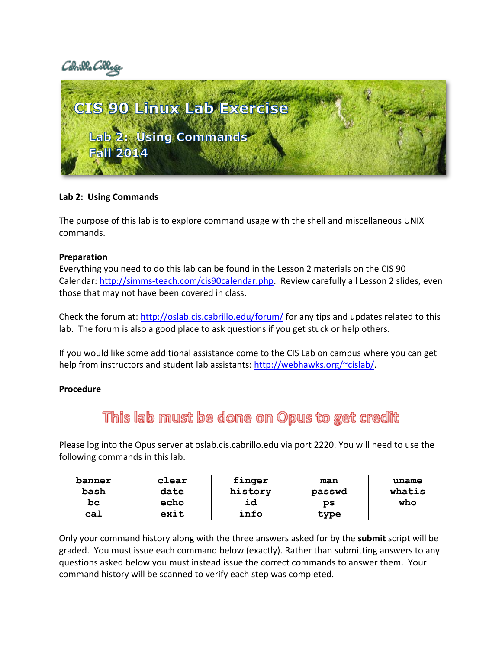Cabrillo Col



# **Lab 2: Using Commands**

The purpose of this lab is to explore command usage with the shell and miscellaneous UNIX commands.

## **Preparation**

Everything you need to do this lab can be found in the Lesson 2 materials on the CIS 90 Calendar: [http://simms-teach.com/cis90calendar.php.](http://simms-teach.com/cis90calendar.php) Review carefully all Lesson 2 slides, even those that may not have been covered in class.

Check the forum at:<http://oslab.cis.cabrillo.edu/forum/> for any tips and updates related to this lab. The forum is also a good place to ask questions if you get stuck or help others.

If you would like some additional assistance come to the CIS Lab on campus where you can get help from instructors and student lab assistants: [http://webhawks.org/~cislab/.](http://webhawks.org/~cislab/)

## **Procedure**

# This lab must be done on Opus to get credit

Please log into the Opus server at oslab.cis.cabrillo.edu via port 2220. You will need to use the following commands in this lab.

| banner | clear | finger  | man    | uname  |
|--------|-------|---------|--------|--------|
| bash   | date  | history | passwd | whatis |
| bc     | echo  | ıd      | ps     | who    |
| cal    | exit  | info    | type   |        |

Only your command history along with the three answers asked for by the **submit** script will be graded. You must issue each command below (exactly). Rather than submitting answers to any questions asked below you must instead issue the correct commands to answer them. Your command history will be scanned to verify each step was completed.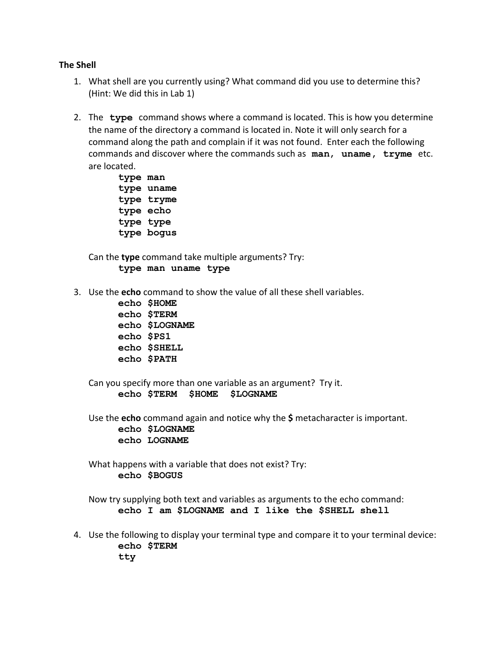#### **The Shell**

- 1. What shell are you currently using? What command did you use to determine this? (Hint: We did this in Lab 1)
- 2. The **type** command shows where a command is located. This is how you determine the name of the directory a command is located in. Note it will only search for a command along the path and complain if it was not found. Enter each the following commands and discover where the commands such as **man**, **uname, tryme** etc. are located.
	- **type man type uname type tryme type echo type type type bogus**

Can the **type** command take multiple arguments? Try: **type man uname type**

- 3. Use the **echo** command to show the value of all these shell variables.
	- **echo \$HOME echo \$TERM echo \$LOGNAME echo \$PS1 echo \$SHELL echo \$PATH**

Can you specify more than one variable as an argument? Try it. **echo \$TERM \$HOME \$LOGNAME**

Use the **echo** command again and notice why the **\$** metacharacter is important. **echo \$LOGNAME echo LOGNAME**

What happens with a variable that does not exist? Try: **echo \$BOGUS**

Now try supplying both text and variables as arguments to the echo command: **echo I am \$LOGNAME and I like the \$SHELL shell**

4. Use the following to display your terminal type and compare it to your terminal device: **echo \$TERM tty**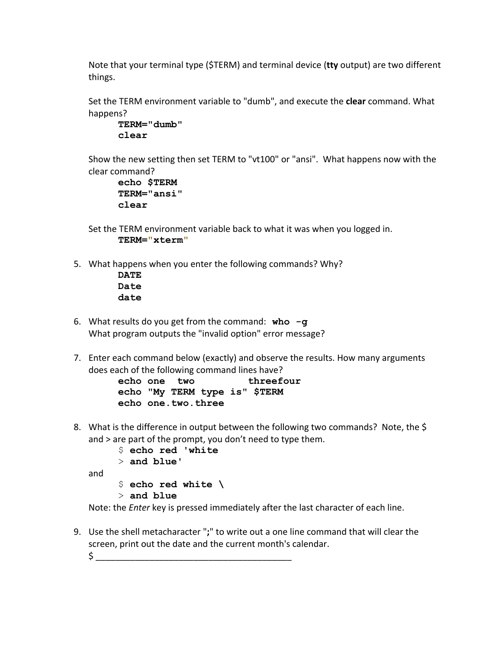Note that your terminal type (\$TERM) and terminal device (**tty** output) are two different things.

Set the TERM environment variable to "dumb", and execute the **clear** command. What happens?

```
TERM="dumb"
clear
```
Show the new setting then set TERM to "vt100" or "ansi". What happens now with the clear command?

```
echo $TERM
TERM="ansi"
clear
```
- Set the TERM environment variable back to what it was when you logged in. **TERM="xterm"**
- 5. What happens when you enter the following commands? Why?
	- **DATE Date date**
- 6. What results do you get from the command: **who -g** What program outputs the "invalid option" error message?
- 7. Enter each command below (exactly) and observe the results. How many arguments does each of the following command lines have?

```
echo one two threefour
echo "My TERM type is" $TERM
echo one.two.three
```
8. What is the difference in output between the following two commands? Note, the \$ and > are part of the prompt, you don't need to type them.

```
$ echo red 'white
> and blue'
```
and

\$ **echo red white \**

```
> and blue
```
Note: the *Enter* key is pressed immediately after the last character of each line.

9. Use the shell metacharacter "**;**" to write out a one line command that will clear the screen, print out the date and the current month's calendar.

\$ \_\_\_\_\_\_\_\_\_\_\_\_\_\_\_\_\_\_\_\_\_\_\_\_\_\_\_\_\_\_\_\_\_\_\_\_\_\_\_\_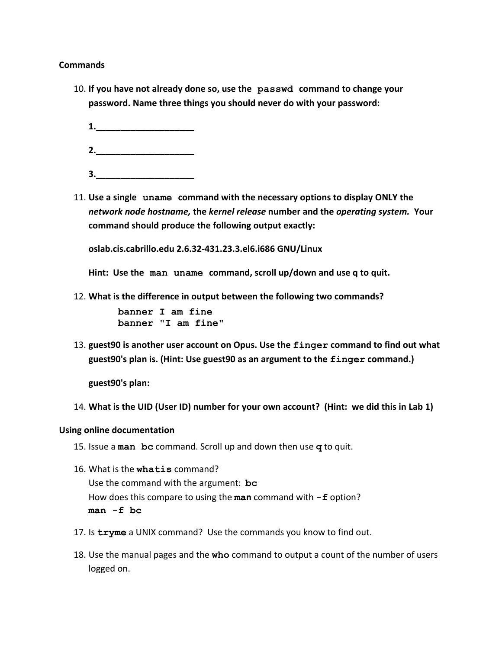#### **Commands**

- 10. **If you have not already done so, use the passwd command to change your password. Name three things you should never do with your password:**
	- **1.\_\_\_\_\_\_\_\_\_\_\_\_\_\_\_\_\_\_\_\_**
	- **2.\_\_\_\_\_\_\_\_\_\_\_\_\_\_\_\_\_\_\_\_**
	- **3.\_\_\_\_\_\_\_\_\_\_\_\_\_\_\_\_\_\_\_\_**
- 11. **Use a single uname command with the necessary options to display ONLY the**  *network node hostname,* **the** *kernel release* **number and the** *operating system.* **Your command should produce the following output exactly:**

**oslab.cis.cabrillo.edu 2.6.32-431.23.3.el6.i686 GNU/Linux**

**Hint: Use the man uname command, scroll up/down and use q to quit.**

12. **What is the difference in output between the following two commands?**

**banner I am fine banner "I am fine"** 

13. **guest90 is another user account on Opus. Use the finger command to find out what guest90's plan is. (Hint: Use guest90 as an argument to the finger command.)**

**guest90's plan:**

14. **What is the UID (User ID) number for your own account? (Hint: we did this in Lab 1)**

#### **Using online documentation**

- 15. Issue a **man bc** command. Scroll up and down then use **q** to quit.
- 16. What is the **whatis** command? Use the command with the argument: **bc** How does this compare to using the **man** command with **-f** option? **man -f bc**
- 17. Is **tryme** a UNIX command? Use the commands you know to find out.
- 18. Use the manual pages and the **who** command to output a count of the number of users logged on.